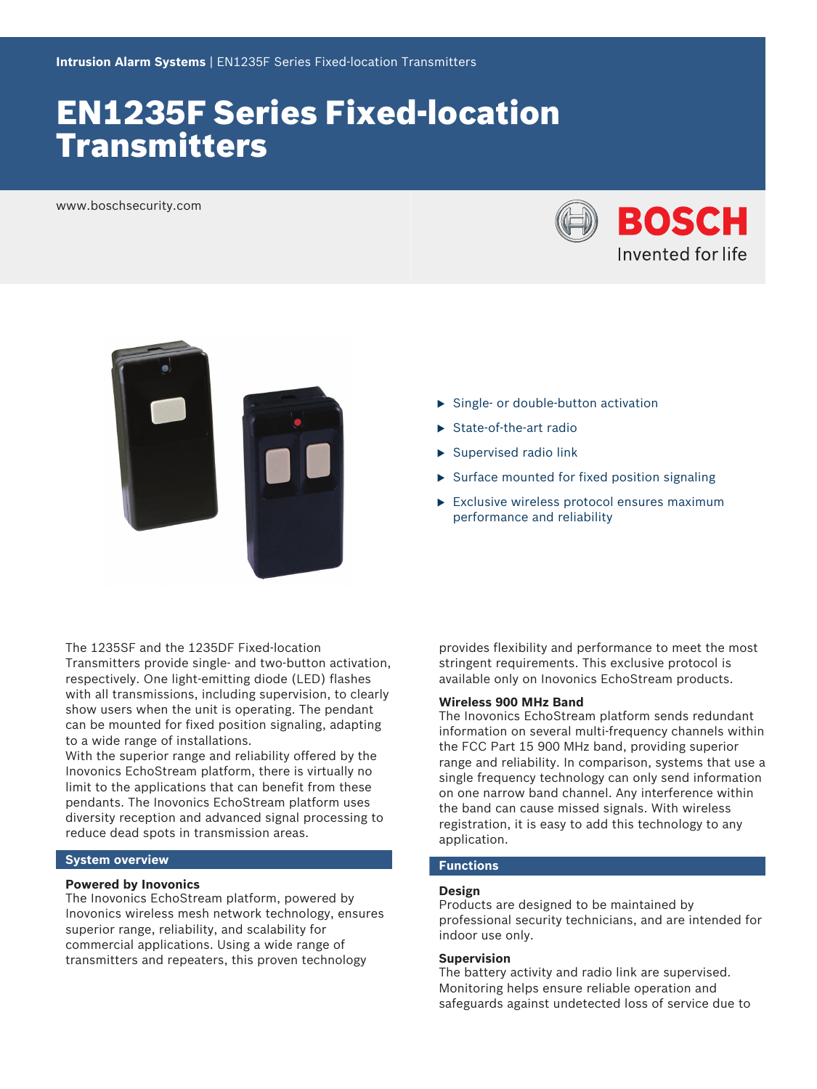# EN1235F Series Fixed-location **Transmitters**

www.boschsecurity.com





- $\triangleright$  Single- or double-button activation
- $\blacktriangleright$  State-of-the-art radio
- $\blacktriangleright$  Supervised radio link
- $\triangleright$  Surface mounted for fixed position signaling
- $\blacktriangleright$  Exclusive wireless protocol ensures maximum performance and reliability

The 1235SF and the 1235DF Fixed-location Transmitters provide single- and two-button activation, respectively. One light-emitting diode (LED) flashes with all transmissions, including supervision, to clearly show users when the unit is operating. The pendant can be mounted for fixed position signaling, adapting to a wide range of installations.

With the superior range and reliability offered by the Inovonics EchoStream platform, there is virtually no limit to the applications that can benefit from these pendants. The Inovonics EchoStream platform uses diversity reception and advanced signal processing to reduce dead spots in transmission areas.

#### **System overview**

#### **Powered by Inovonics**

The Inovonics EchoStream platform, powered by Inovonics wireless mesh network technology, ensures superior range, reliability, and scalability for commercial applications. Using a wide range of transmitters and repeaters, this proven technology

provides flexibility and performance to meet the most stringent requirements. This exclusive protocol is available only on Inovonics EchoStream products.

# **Wireless 900 MHz Band**

The Inovonics EchoStream platform sends redundant information on several multi-frequency channels within the FCC Part 15 900 MHz band, providing superior range and reliability. In comparison, systems that use a single frequency technology can only send information on one narrow band channel. Any interference within the band can cause missed signals. With wireless registration, it is easy to add this technology to any application.

# **Functions**

#### **Design**

Products are designed to be maintained by professional security technicians, and are intended for indoor use only.

### **Supervision**

The battery activity and radio link are supervised. Monitoring helps ensure reliable operation and safeguards against undetected loss of service due to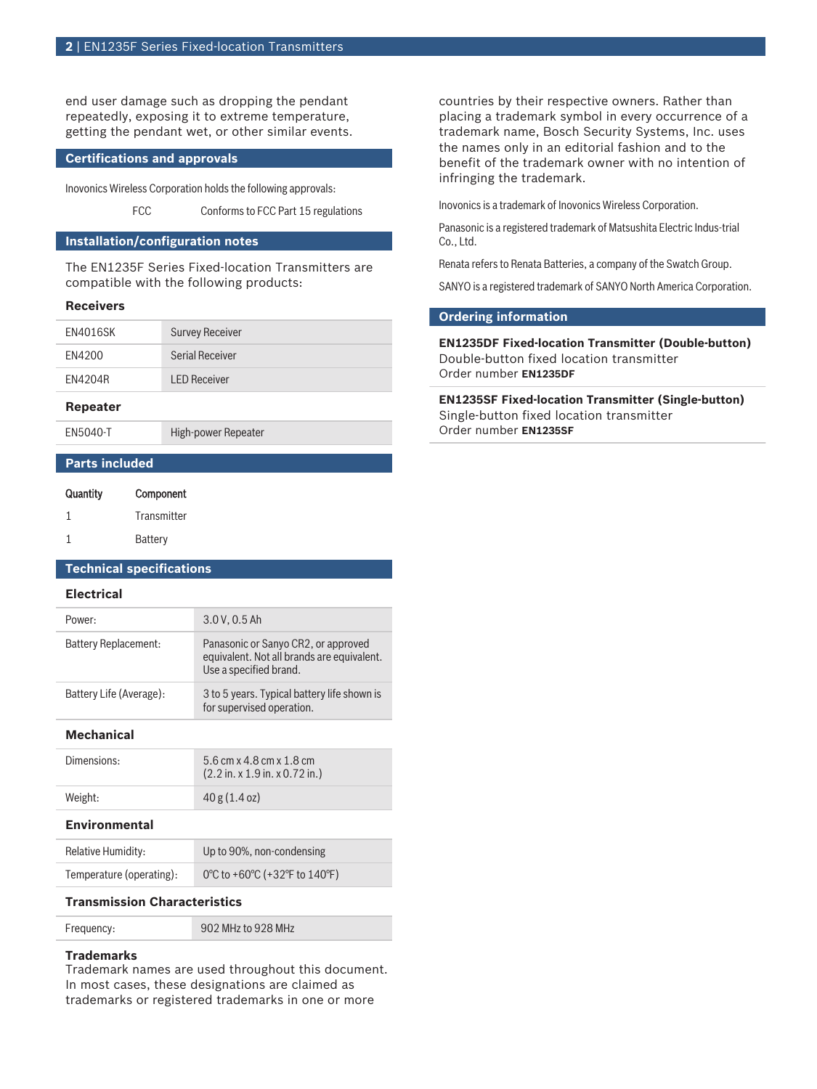end user damage such as dropping the pendant repeatedly, exposing it to extreme temperature, getting the pendant wet, or other similar events.

# **Certifications and approvals**

Inovonics Wireless Corporation holds the following approvals:

FCC Conforms to FCC Part 15 regulations

# **Installation/configuration notes**

The EN1235F Series Fixed-location Transmitters are compatible with the following products:

### **Receivers**

| EN4016SK | <b>Survey Receiver</b> |
|----------|------------------------|
| FN4200   | Serial Receiver        |
| FN4204R  | <b>LED Receiver</b>    |

#### **Repeater**

EN5040-T High-power Repeater

# **Parts included**

| Quantity | Component   |
|----------|-------------|
| 1        | Transmitter |
|          | Battery     |

#### **Technical specifications**

# **Electrical**

| Power:                  | 3.0 V, 0.5 Ah                                                                                               |
|-------------------------|-------------------------------------------------------------------------------------------------------------|
| Battery Replacement:    | Panasonic or Sanyo CR2, or approved<br>equivalent. Not all brands are equivalent.<br>Use a specified brand. |
| Battery Life (Average): | 3 to 5 years. Typical battery life shown is<br>for supervised operation.                                    |

### **Mechanical**

| Dimensions: | 5.6 cm x 4.8 cm x 1.8 cm<br>$(2.2 \text{ in. x } 1.9 \text{ in. x } 0.72 \text{ in.})$ |
|-------------|----------------------------------------------------------------------------------------|
| Weight:     | 40 g (1.4 oz)                                                                          |

# **Environmental**

| Relative Humidity:       | Up to 90%, non-condensing     |
|--------------------------|-------------------------------|
| Temperature (operating): | 0°C to +60°C (+32°F to 140°F) |

# **Transmission Characteristics**

| Frequency: | 902 MHz to 928 MHz |
|------------|--------------------|
|------------|--------------------|

# **Trademarks**

Trademark names are used throughout this document. In most cases, these designations are claimed as trademarks or registered trademarks in one or more

countries by their respective owners. Rather than placing a trademark symbol in every occurrence of a trademark name, Bosch Security Systems, Inc. uses the names only in an editorial fashion and to the benefit of the trademark owner with no intention of infringing the trademark.

Inovonics is a trademark of Inovonics Wireless Corporation.

Panasonic is a registered trademark of Matsushita Electric Indus-trial Co., Ltd.

Renata refers to Renata Batteries, a company of the Swatch Group.

SANYO is a registered trademark of SANYO North America Corporation.

# **Ordering information**

**EN1235DF Fixed-location Transmitter (Double-button)** Double-button fixed location transmitter Order number **EN1235DF**

**EN1235SF Fixed-location Transmitter (Single-button)** Single-button fixed location transmitter Order number **EN1235SF**